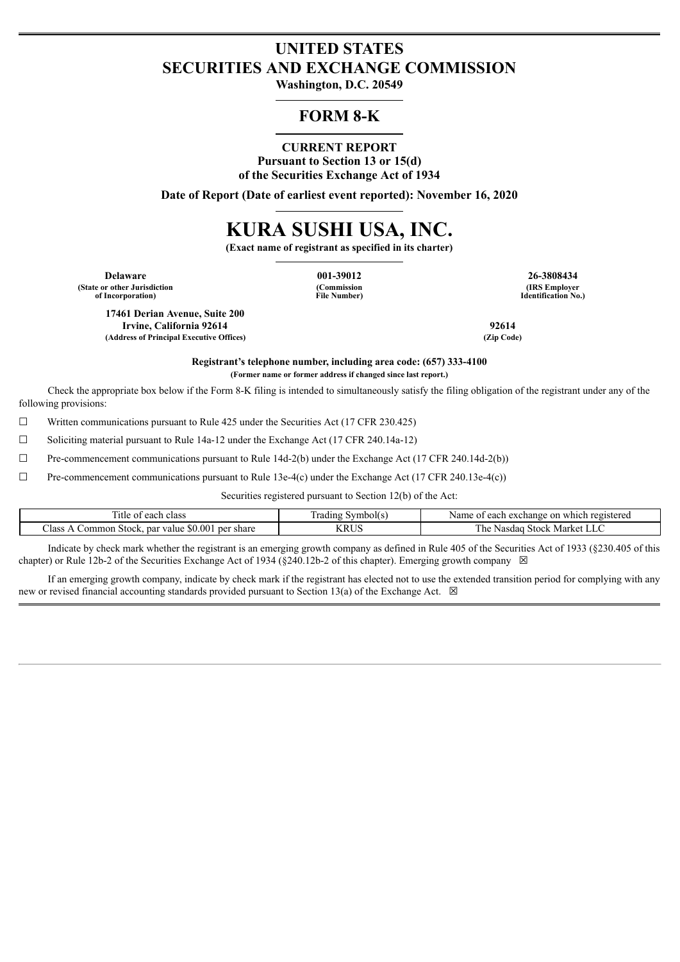# **UNITED STATES SECURITIES AND EXCHANGE COMMISSION**

**Washington, D.C. 20549**

# **FORM 8-K**

## **CURRENT REPORT Pursuant to Section 13 or 15(d) of the Securities Exchange Act of 1934**

**Date of Report (Date of earliest event reported): November 16, 2020**

# **KURA SUSHI USA, INC.**

**(Exact name of registrant as specified in its charter)**

**Delaware 001-39012 26-3808434 (State or other Jurisdiction of Incorporation)**

**(Commission File Number)**

**(IRS Employer Identification No.)**

**17461 Derian Avenue, Suite 200 Irvine, California 92614 92614 (Address of Principal Executive Offices) (Zip Code)**

**Registrant's telephone number, including area code: (657) 333-4100 (Former name or former address if changed since last report.)**

Check the appropriate box below if the Form 8-K filing is intended to simultaneously satisfy the filing obligation of the registrant under any of the following provisions:

 $\Box$  Written communications pursuant to Rule 425 under the Securities Act (17 CFR 230.425)

☐ Soliciting material pursuant to Rule 14a-12 under the Exchange Act (17 CFR 240.14a-12)

☐ Pre-commencement communications pursuant to Rule 14d-2(b) under the Exchange Act (17 CFR 240.14d-2(b))

 $\Box$  Pre-commencement communications pursuant to Rule 13e-4(c) under the Exchange Act (17 CFR 240.13e-4(c))

Securities registered pursuant to Section 12(b) of the Act:

| --<br>class<br>itle<br>ഛ<br>сасн                                                   | $\sim$<br>radıng<br>`vmi | registered<br>Name<br>.on<br>which<br>cxchange<br><b>Annh</b><br>сасн |
|------------------------------------------------------------------------------------|--------------------------|-----------------------------------------------------------------------|
| $\sim$ 1<br>.00<br>per<br>share<br>`ommon<br>-lass<br>par<br>Stock<br>value<br>30. | $L$ DIK                  | --<br>Market<br>Stock<br>. he<br>Nasdao<br>- LLC                      |

Indicate by check mark whether the registrant is an emerging growth company as defined in Rule 405 of the Securities Act of 1933 (§230.405 of this chapter) or Rule 12b-2 of the Securities Exchange Act of 1934 (§240.12b-2 of this chapter). Emerging growth company  $\boxtimes$ 

If an emerging growth company, indicate by check mark if the registrant has elected not to use the extended transition period for complying with any new or revised financial accounting standards provided pursuant to Section 13(a) of the Exchange Act.  $\boxtimes$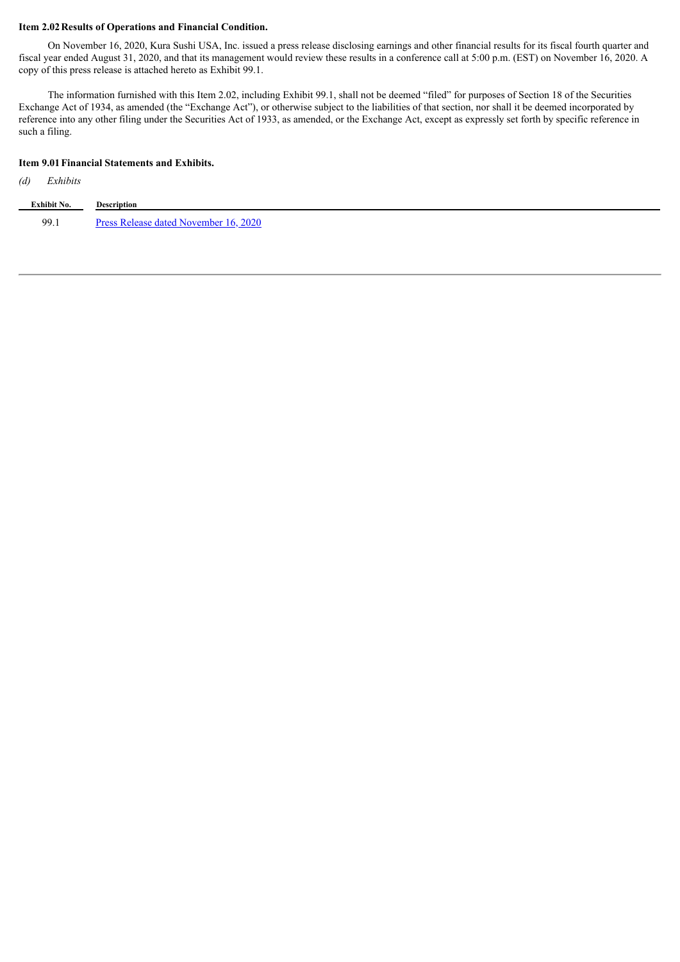#### **Item 2.02Results of Operations and Financial Condition.**

On November 16, 2020, Kura Sushi USA, Inc. issued a press release disclosing earnings and other financial results for its fiscal fourth quarter and fiscal year ended August 31, 2020, and that its management would review these results in a conference call at 5:00 p.m. (EST) on November 16, 2020. A copy of this press release is attached hereto as Exhibit 99.1.

The information furnished with this Item 2.02, including Exhibit 99.1, shall not be deemed "filed" for purposes of Section 18 of the Securities Exchange Act of 1934, as amended (the "Exchange Act"), or otherwise subject to the liabilities of that section, nor shall it be deemed incorporated by reference into any other filing under the Securities Act of 1933, as amended, or the Exchange Act, except as expressly set forth by specific reference in such a filing.

#### **Item 9.01Financial Statements and Exhibits.**

*(d) Exhibits*

| Exhibit No. | <b>Description</b>                           |
|-------------|----------------------------------------------|
| 99.1        | <b>Press Release dated November 16, 2020</b> |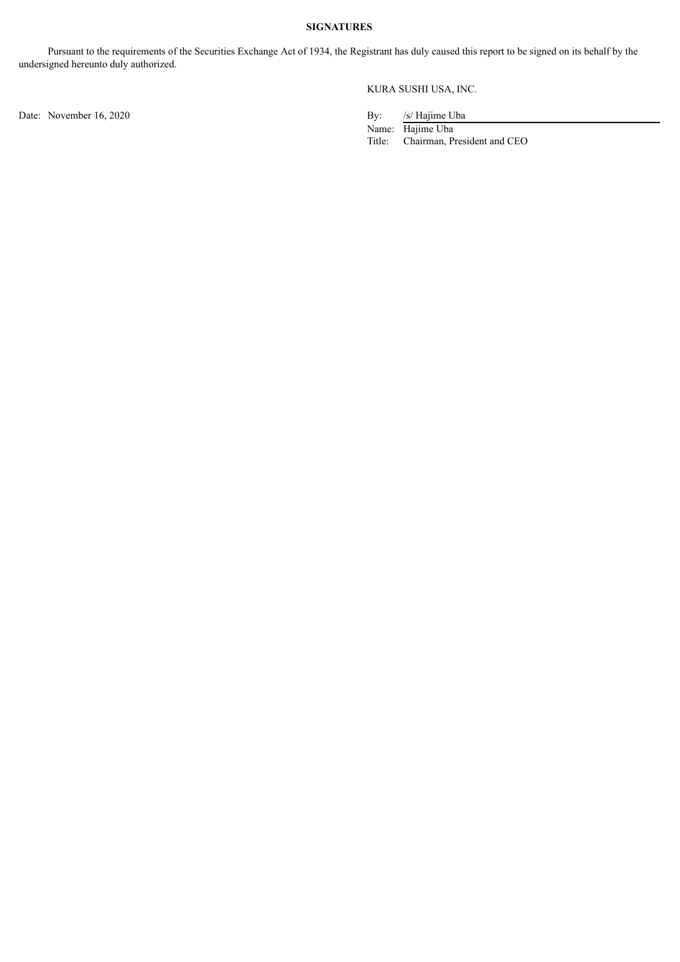## **SIGNATURES**

Pursuant to the requirements of the Securities Exchange Act of 1934, the Registrant has duly caused this report to be signed on its behalf by the undersigned hereunto duly authorized.

Date: November 16, 2020 By: /s/ Hajime Uba

## KURA SUSHI USA, INC.

Name: Hajime Uba Title: Chairman, President and CEO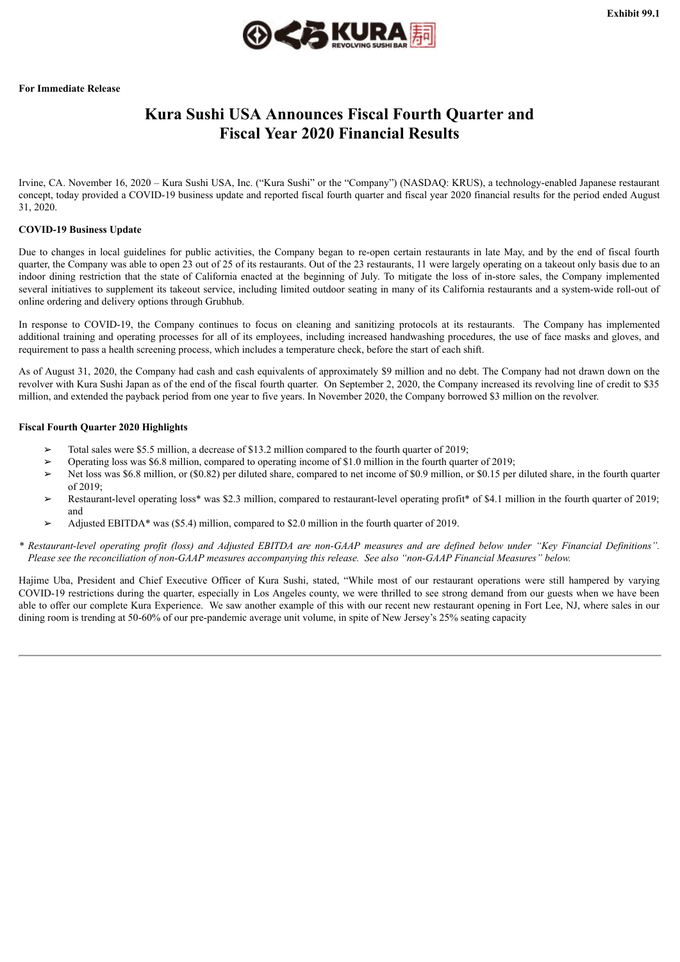

# <span id="page-3-0"></span>**Kura Sushi USA Announces Fiscal Fourth Quarter and Fiscal Year 2020 Financial Results**

Irvine, CA. November 16, 2020 – Kura Sushi USA, Inc. ("Kura Sushi" or the "Company") (NASDAQ: KRUS), a technology-enabled Japanese restaurant concept, today provided a COVID-19 business update and reported fiscal fourth quarter and fiscal year 2020 financial results for the period ended August 31, 2020.

#### **COVID-19 Business Update**

Due to changes in local guidelines for public activities, the Company began to re-open certain restaurants in late May, and by the end of fiscal fourth quarter, the Company was able to open 23 out of 25 of its restaurants. Out of the 23 restaurants, 11 were largely operating on a takeout only basis due to an indoor dining restriction that the state of California enacted at the beginning of July. To mitigate the loss of in-store sales, the Company implemented several initiatives to supplement its takeout service, including limited outdoor seating in many of its California restaurants and a system-wide roll-out of online ordering and delivery options through Grubhub.

In response to COVID-19, the Company continues to focus on cleaning and sanitizing protocols at its restaurants. The Company has implemented additional training and operating processes for all of its employees, including increased handwashing procedures, the use of face masks and gloves, and requirement to pass a health screening process, which includes a temperature check, before the start of each shift.

As of August 31, 2020, the Company had cash and cash equivalents of approximately \$9 million and no debt. The Company had not drawn down on the revolver with Kura Sushi Japan as of the end of the fiscal fourth quarter. On September 2, 2020, the Company increased its revolving line of credit to \$35 million, and extended the payback period from one year to five years. In November 2020, the Company borrowed \$3 million on the revolver.

#### **Fiscal Fourth Quarter 2020 Highlights**

- $\geq$  Total sales were \$5.5 million, a decrease of \$13.2 million compared to the fourth quarter of 2019;
- ➢ Operating loss was \$6.8 million, compared to operating income of \$1.0 million in the fourth quarter of 2019;
- $\geq$  Net loss was \$6.8 million, or (\$0.82) per diluted share, compared to net income of \$0.9 million, or \$0.15 per diluted share, in the fourth quarter of 2019;
- ➢ Restaurant-level operating loss\* was \$2.3 million, compared to restaurant-level operating profit\* of \$4.1 million in the fourth quarter of 2019; and
- $\triangleright$  Adjusted EBITDA\* was (\$5.4) million, compared to \$2.0 million in the fourth quarter of 2019.

\* Restaurant-level operating profit (loss) and Adjusted EBITDA are non-GAAP measures and are defined below under "Key Financial Definitions". Please see the reconciliation of non-GAAP measures accompanying this release. See also "non-GAAP Financial Measures" below.

Hajime Uba, President and Chief Executive Officer of Kura Sushi, stated, "While most of our restaurant operations were still hampered by varying COVID-19 restrictions during the quarter, especially in Los Angeles county, we were thrilled to see strong demand from our guests when we have been able to offer our complete Kura Experience. We saw another example of this with our recent new restaurant opening in Fort Lee, NJ, where sales in our dining room is trending at 50-60% of our pre-pandemic average unit volume, in spite of New Jersey's 25% seating capacity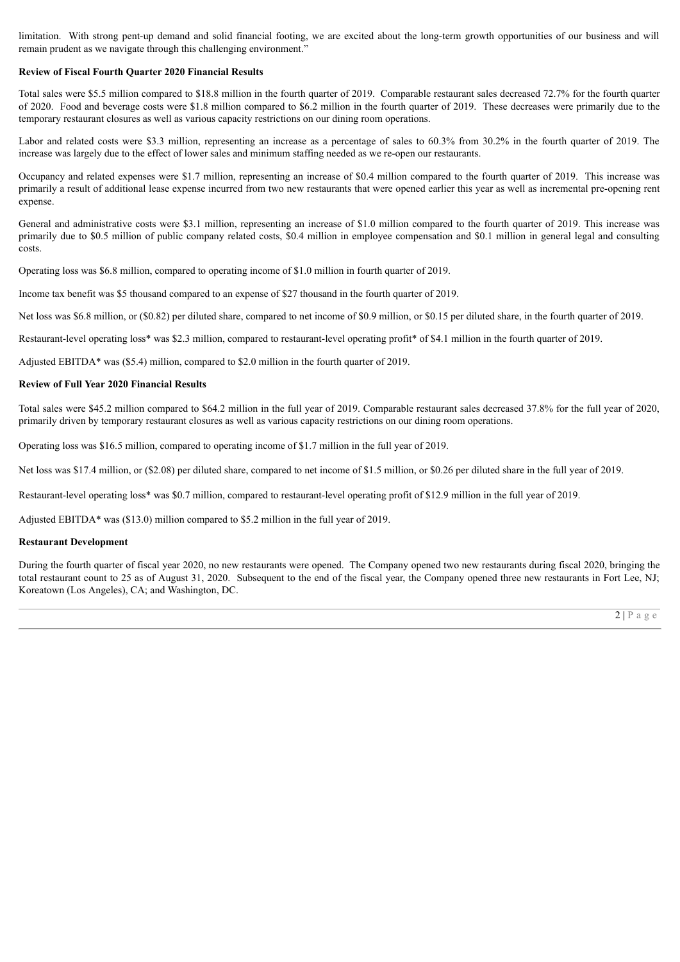limitation. With strong pent-up demand and solid financial footing, we are excited about the long-term growth opportunities of our business and will remain prudent as we navigate through this challenging environment."

#### **Review of Fiscal Fourth Quarter 2020 Financial Results**

Total sales were \$5.5 million compared to \$18.8 million in the fourth quarter of 2019. Comparable restaurant sales decreased 72.7% for the fourth quarter of 2020. Food and beverage costs were \$1.8 million compared to \$6.2 million in the fourth quarter of 2019. These decreases were primarily due to the temporary restaurant closures as well as various capacity restrictions on our dining room operations.

Labor and related costs were \$3.3 million, representing an increase as a percentage of sales to 60.3% from 30.2% in the fourth quarter of 2019. The increase was largely due to the effect of lower sales and minimum staffing needed as we re-open our restaurants.

Occupancy and related expenses were \$1.7 million, representing an increase of \$0.4 million compared to the fourth quarter of 2019. This increase was primarily a result of additional lease expense incurred from two new restaurants that were opened earlier this year as well as incremental pre-opening rent expense.

General and administrative costs were \$3.1 million, representing an increase of \$1.0 million compared to the fourth quarter of 2019. This increase was primarily due to \$0.5 million of public company related costs, \$0.4 million in employee compensation and \$0.1 million in general legal and consulting costs.

Operating loss was \$6.8 million, compared to operating income of \$1.0 million in fourth quarter of 2019.

Income tax benefit was \$5 thousand compared to an expense of \$27 thousand in the fourth quarter of 2019.

Net loss was \$6.8 million, or (\$0.82) per diluted share, compared to net income of \$0.9 million, or \$0.15 per diluted share, in the fourth quarter of 2019.

Restaurant-level operating loss\* was \$2.3 million, compared to restaurant-level operating profit\* of \$4.1 million in the fourth quarter of 2019.

Adjusted EBITDA\* was (\$5.4) million, compared to \$2.0 million in the fourth quarter of 2019.

#### **Review of Full Year 2020 Financial Results**

Total sales were \$45.2 million compared to \$64.2 million in the full year of 2019. Comparable restaurant sales decreased 37.8% for the full year of 2020, primarily driven by temporary restaurant closures as well as various capacity restrictions on our dining room operations.

Operating loss was \$16.5 million, compared to operating income of \$1.7 million in the full year of 2019.

Net loss was \$17.4 million, or (\$2.08) per diluted share, compared to net income of \$1.5 million, or \$0.26 per diluted share in the full year of 2019.

Restaurant-level operating loss\* was \$0.7 million, compared to restaurant-level operating profit of \$12.9 million in the full year of 2019.

Adjusted EBITDA\* was (\$13.0) million compared to \$5.2 million in the full year of 2019.

#### **Restaurant Development**

During the fourth quarter of fiscal year 2020, no new restaurants were opened. The Company opened two new restaurants during fiscal 2020, bringing the total restaurant count to 25 as of August 31, 2020. Subsequent to the end of the fiscal year, the Company opened three new restaurants in Fort Lee, NJ; Koreatown (Los Angeles), CA; and Washington, DC.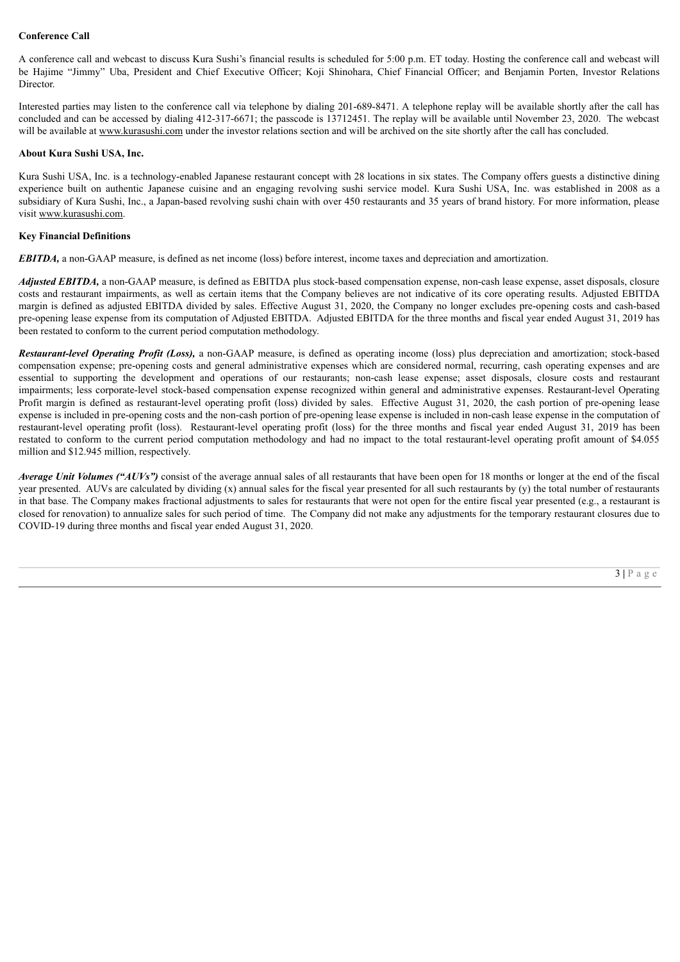## **Conference Call**

A conference call and webcast to discuss Kura Sushi's financial results is scheduled for 5:00 p.m. ET today. Hosting the conference call and webcast will be Hajime "Jimmy" Uba, President and Chief Executive Officer; Koji Shinohara, Chief Financial Officer; and Benjamin Porten, Investor Relations Director.

Interested parties may listen to the conference call via telephone by dialing 201-689-8471. A telephone replay will be available shortly after the call has concluded and can be accessed by dialing 412-317-6671; the passcode is 13712451. The replay will be available until November 23, 2020. The webcast will be available at www.kurasushi.com under the investor relations section and will be archived on the site shortly after the call has concluded.

#### **About Kura Sushi USA, Inc.**

Kura Sushi USA, Inc. is a technology-enabled Japanese restaurant concept with 28 locations in six states. The Company offers guests a distinctive dining experience built on authentic Japanese cuisine and an engaging revolving sushi service model. Kura Sushi USA, Inc. was established in 2008 as a subsidiary of Kura Sushi, Inc., a Japan-based revolving sushi chain with over 450 restaurants and 35 years of brand history. For more information, please visit www.kurasushi.com.

#### **Key Financial Definitions**

*EBITDA,* a non-GAAP measure, is defined as net income (loss) before interest, income taxes and depreciation and amortization.

*Adjusted EBITDA,* a non-GAAP measure, is defined as EBITDA plus stock-based compensation expense, non-cash lease expense, asset disposals, closure costs and restaurant impairments, as well as certain items that the Company believes are not indicative of its core operating results. Adjusted EBITDA margin is defined as adjusted EBITDA divided by sales. Effective August 31, 2020, the Company no longer excludes pre-opening costs and cash-based pre-opening lease expense from its computation of Adjusted EBITDA. Adjusted EBITDA for the three months and fiscal year ended August 31, 2019 has been restated to conform to the current period computation methodology.

*Restaurant-level Operating Profit (Loss),* a non-GAAP measure, is defined as operating income (loss) plus depreciation and amortization; stock-based compensation expense; pre-opening costs and general administrative expenses which are considered normal, recurring, cash operating expenses and are essential to supporting the development and operations of our restaurants; non-cash lease expense; asset disposals, closure costs and restaurant impairments; less corporate-level stock-based compensation expense recognized within general and administrative expenses. Restaurant-level Operating Profit margin is defined as restaurant-level operating profit (loss) divided by sales. Effective August 31, 2020, the cash portion of pre-opening lease expense is included in pre-opening costs and the non-cash portion of pre-opening lease expense is included in non-cash lease expense in the computation of restaurant-level operating profit (loss). Restaurant-level operating profit (loss) for the three months and fiscal year ended August 31, 2019 has been restated to conform to the current period computation methodology and had no impact to the total restaurant-level operating profit amount of \$4.055 million and \$12.945 million, respectively.

*Average Unit Volumes ("AUVs")* consist of the average annual sales of all restaurants that have been open for 18 months or longer at the end of the fiscal year presented. AUVs are calculated by dividing (x) annual sales for the fiscal year presented for all such restaurants by (y) the total number of restaurants in that base. The Company makes fractional adjustments to sales for restaurants that were not open for the entire fiscal year presented (e.g., a restaurant is closed for renovation) to annualize sales for such period of time. The Company did not make any adjustments for the temporary restaurant closures due to COVID-19 during three months and fiscal year ended August 31, 2020.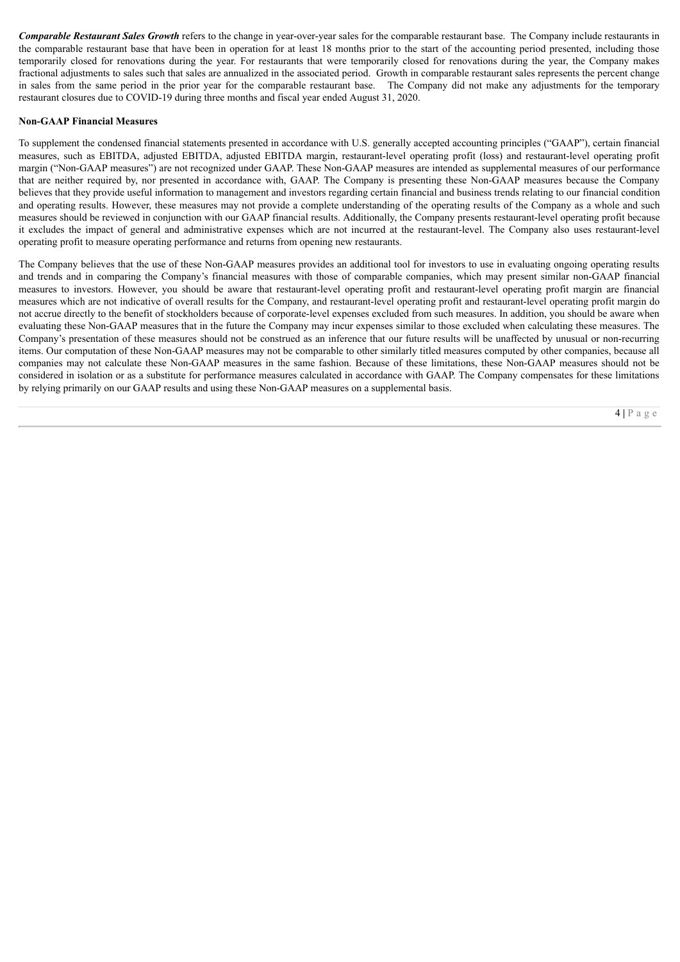*Comparable Restaurant Sales Growth* refers to the change in year-over-year sales for the comparable restaurant base. The Company include restaurants in the comparable restaurant base that have been in operation for at least 18 months prior to the start of the accounting period presented, including those temporarily closed for renovations during the year. For restaurants that were temporarily closed for renovations during the year, the Company makes fractional adjustments to sales such that sales are annualized in the associated period. Growth in comparable restaurant sales represents the percent change in sales from the same period in the prior year for the comparable restaurant base. The Company did not make any adjustments for the temporary restaurant closures due to COVID-19 during three months and fiscal year ended August 31, 2020.

#### **Non-GAAP Financial Measures**

To supplement the condensed financial statements presented in accordance with U.S. generally accepted accounting principles ("GAAP"), certain financial measures, such as EBITDA, adjusted EBITDA, adjusted EBITDA margin, restaurant-level operating profit (loss) and restaurant-level operating profit margin ("Non-GAAP measures") are not recognized under GAAP. These Non-GAAP measures are intended as supplemental measures of our performance that are neither required by, nor presented in accordance with, GAAP. The Company is presenting these Non-GAAP measures because the Company believes that they provide useful information to management and investors regarding certain financial and business trends relating to our financial condition and operating results. However, these measures may not provide a complete understanding of the operating results of the Company as a whole and such measures should be reviewed in conjunction with our GAAP financial results. Additionally, the Company presents restaurant-level operating profit because it excludes the impact of general and administrative expenses which are not incurred at the restaurant-level. The Company also uses restaurant-level operating profit to measure operating performance and returns from opening new restaurants.

The Company believes that the use of these Non-GAAP measures provides an additional tool for investors to use in evaluating ongoing operating results and trends and in comparing the Company's financial measures with those of comparable companies, which may present similar non-GAAP financial measures to investors. However, you should be aware that restaurant-level operating profit and restaurant-level operating profit margin are financial measures which are not indicative of overall results for the Company, and restaurant-level operating profit and restaurant-level operating profit margin do not accrue directly to the benefit of stockholders because of corporate-level expenses excluded from such measures. In addition, you should be aware when evaluating these Non-GAAP measures that in the future the Company may incur expenses similar to those excluded when calculating these measures. The Company's presentation of these measures should not be construed as an inference that our future results will be unaffected by unusual or non-recurring items. Our computation of these Non-GAAP measures may not be comparable to other similarly titled measures computed by other companies, because all companies may not calculate these Non-GAAP measures in the same fashion. Because of these limitations, these Non-GAAP measures should not be considered in isolation or as a substitute for performance measures calculated in accordance with GAAP. The Company compensates for these limitations by relying primarily on our GAAP results and using these Non-GAAP measures on a supplemental basis.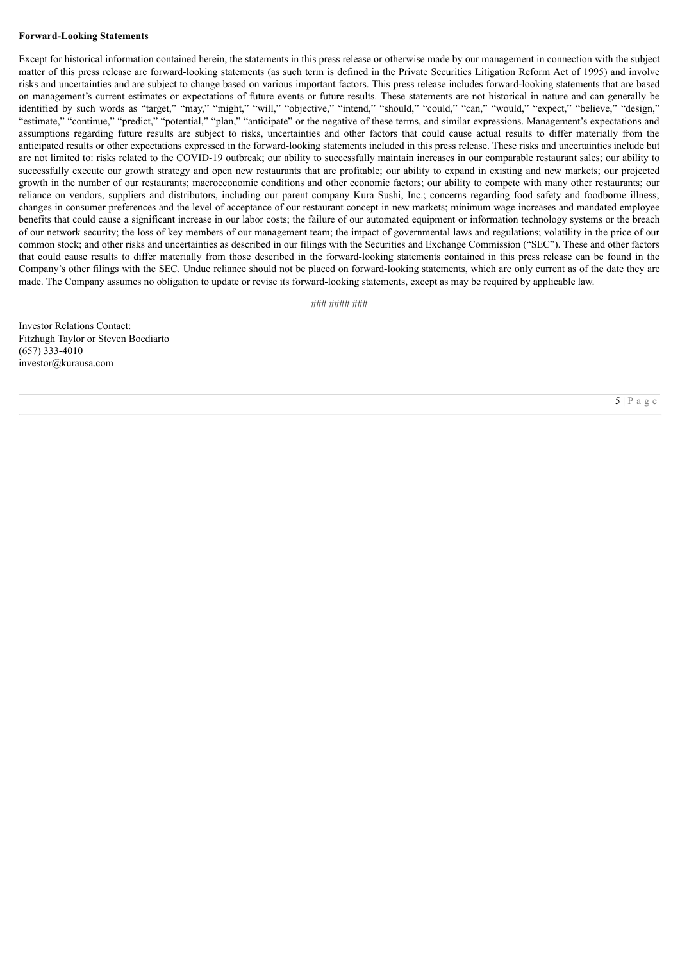#### **Forward-Looking Statements**

Except for historical information contained herein, the statements in this press release or otherwise made by our management in connection with the subject matter of this press release are forward-looking statements (as such term is defined in the Private Securities Litigation Reform Act of 1995) and involve risks and uncertainties and are subject to change based on various important factors. This press release includes forward-looking statements that are based on management's current estimates or expectations of future events or future results. These statements are not historical in nature and can generally be identified by such words as "target," "may," "might," "will," "objective," "intend," "should," "could," "can," "would," "expect," "believe," "design," "estimate," "continue," "predict," "potential," "plan," "anticipate" or the negative of these terms, and similar expressions. Management's expectations and assumptions regarding future results are subject to risks, uncertainties and other factors that could cause actual results to differ materially from the anticipated results or other expectations expressed in the forward-looking statements included in this press release. These risks and uncertainties include but are not limited to: risks related to the COVID-19 outbreak; our ability to successfully maintain increases in our comparable restaurant sales; our ability to successfully execute our growth strategy and open new restaurants that are profitable; our ability to expand in existing and new markets; our projected growth in the number of our restaurants; macroeconomic conditions and other economic factors; our ability to compete with many other restaurants; our reliance on vendors, suppliers and distributors, including our parent company Kura Sushi, Inc.; concerns regarding food safety and foodborne illness; changes in consumer preferences and the level of acceptance of our restaurant concept in new markets; minimum wage increases and mandated employee benefits that could cause a significant increase in our labor costs; the failure of our automated equipment or information technology systems or the breach of our network security; the loss of key members of our management team; the impact of governmental laws and regulations; volatility in the price of our common stock; and other risks and uncertainties as described in our filings with the Securities and Exchange Commission ("SEC"). These and other factors that could cause results to differ materially from those described in the forward-looking statements contained in this press release can be found in the Company's other filings with the SEC. Undue reliance should not be placed on forward-looking statements, which are only current as of the date they are made. The Company assumes no obligation to update or revise its forward-looking statements, except as may be required by applicable law.

### #### ###

Investor Relations Contact: Fitzhugh Taylor or Steven Boediarto (657) 333-4010 investor@kurausa.com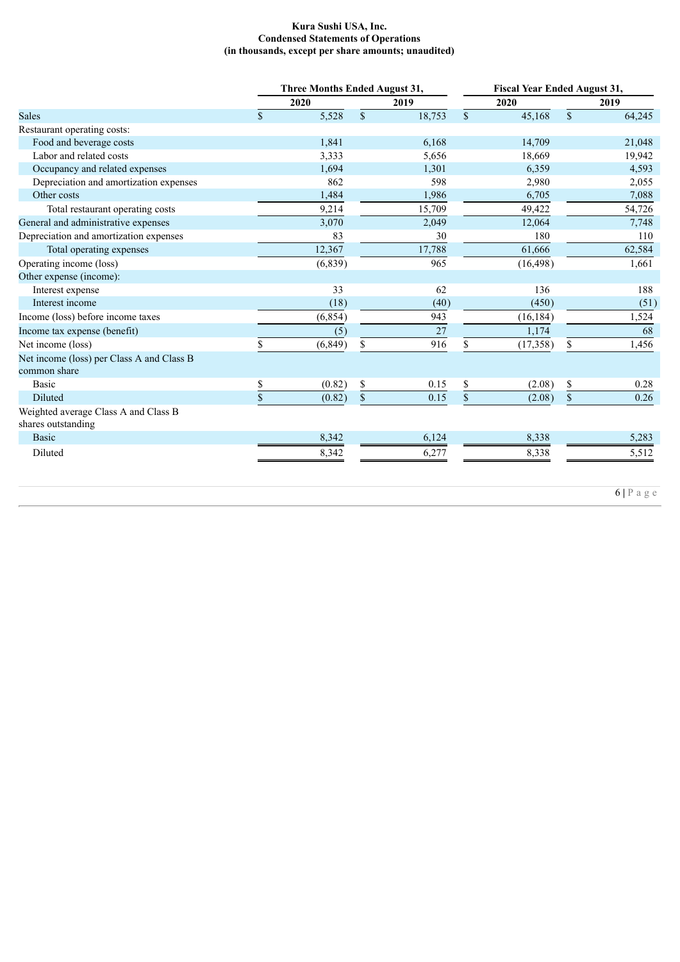#### **Kura Sushi USA, Inc. Condensed Statements of Operations (in thousands, except per share amounts; unaudited)**

|                                                            | Three Months Ended August 31, |          |              | <b>Fiscal Year Ended August 31,</b> |                    |           |                        |        |
|------------------------------------------------------------|-------------------------------|----------|--------------|-------------------------------------|--------------------|-----------|------------------------|--------|
|                                                            |                               | 2020     |              | 2019                                |                    | 2020      |                        | 2019   |
| <b>Sales</b>                                               | $\mathbb{S}$                  | 5,528    | $\mathbf{s}$ | 18,753                              | $\mathbf S$        | 45,168    | $\mathbf{\mathcal{S}}$ | 64,245 |
| Restaurant operating costs:                                |                               |          |              |                                     |                    |           |                        |        |
| Food and beverage costs                                    |                               | 1,841    |              | 6,168                               |                    | 14,709    |                        | 21,048 |
| Labor and related costs                                    |                               | 3,333    |              | 5,656                               |                    | 18,669    |                        | 19,942 |
| Occupancy and related expenses                             |                               | 1,694    |              | 1,301                               |                    | 6,359     |                        | 4,593  |
| Depreciation and amortization expenses                     |                               | 862      |              | 598                                 |                    | 2,980     |                        | 2,055  |
| Other costs                                                |                               | 1,484    |              | 1,986                               |                    | 6,705     |                        | 7,088  |
| Total restaurant operating costs                           |                               | 9,214    |              | 15,709                              |                    | 49,422    |                        | 54,726 |
| General and administrative expenses                        |                               | 3,070    |              | 2,049                               |                    | 12,064    |                        | 7,748  |
| Depreciation and amortization expenses                     |                               | 83       |              | 30                                  |                    | 180       |                        | 110    |
| Total operating expenses                                   |                               | 12,367   |              | 17,788                              |                    | 61,666    |                        | 62,584 |
| Operating income (loss)                                    |                               | (6, 839) |              | 965                                 |                    | (16, 498) |                        | 1,661  |
| Other expense (income):                                    |                               |          |              |                                     |                    |           |                        |        |
| Interest expense                                           |                               | 33       |              | 62                                  |                    | 136       |                        | 188    |
| Interest income                                            |                               | (18)     |              | (40)                                |                    | (450)     |                        | (51)   |
| Income (loss) before income taxes                          |                               | (6, 854) |              | 943                                 |                    | (16, 184) |                        | 1,524  |
| Income tax expense (benefit)                               |                               | (5)      |              | 27                                  |                    | 1,174     |                        | 68     |
| Net income (loss)                                          | \$                            | (6, 849) | \$           | 916                                 | \$                 | (17, 358) | \$                     | 1,456  |
| Net income (loss) per Class A and Class B                  |                               |          |              |                                     |                    |           |                        |        |
| common share                                               |                               |          |              |                                     |                    |           |                        |        |
| <b>Basic</b>                                               | \$                            | (0.82)   | \$           | 0.15                                | \$                 | (2.08)    | \$                     | 0.28   |
| Diluted                                                    | $\mathsf{\$}$                 | (0.82)   | $\mathbb{S}$ | 0.15                                | $\mathbf{\hat{S}}$ | (2.08)    | $\mathsf{\$}$          | 0.26   |
| Weighted average Class A and Class B<br>shares outstanding |                               |          |              |                                     |                    |           |                        |        |
| Basic                                                      |                               | 8,342    |              | 6,124                               |                    | 8,338     |                        | 5,283  |
| Diluted                                                    |                               | 8,342    |              | 6,277                               |                    | 8,338     |                        | 5,512  |
|                                                            |                               |          |              |                                     |                    |           |                        |        |

6 **|** P a g e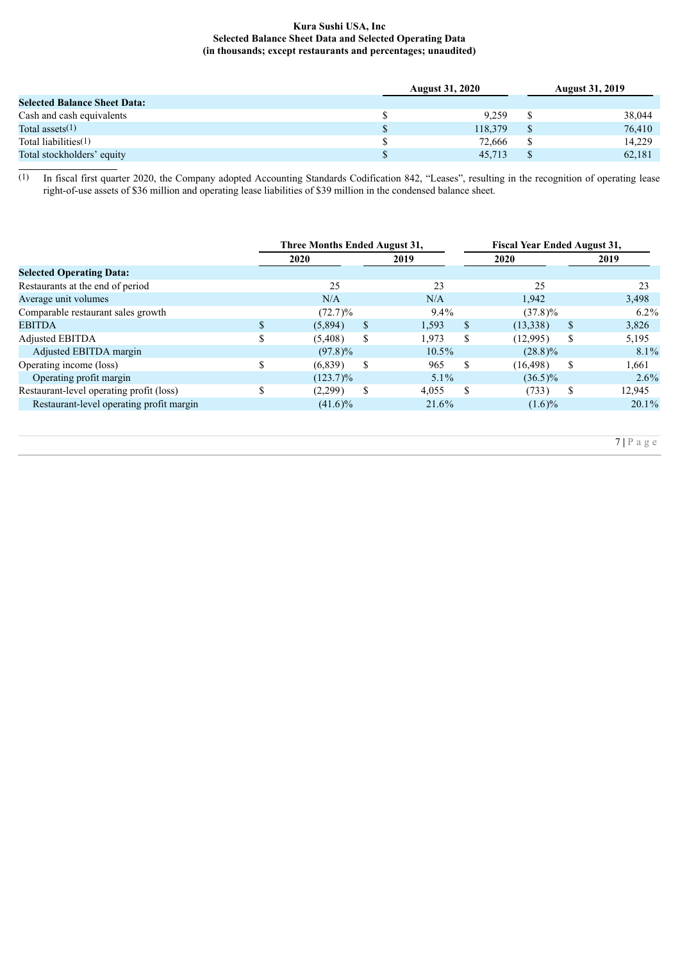#### **Kura Sushi USA, Inc Selected Balance Sheet Data and Selected Operating Data (in thousands; except restaurants and percentages; unaudited)**

|                                     | <b>August 31, 2020</b> | <b>August 31, 2019</b> |        |  |
|-------------------------------------|------------------------|------------------------|--------|--|
| <b>Selected Balance Sheet Data:</b> |                        |                        |        |  |
| Cash and cash equivalents           | 9.259                  |                        | 38,044 |  |
| Total assets $(1)$                  | 118.379                |                        | 76,410 |  |
| Total liabilities(1)                | 72.666                 |                        | 14,229 |  |
| Total stockholders' equity          | 45,713                 |                        | 62,181 |  |

 $\overline{11}$  In fiscal first quarter 2020, the Company adopted Accounting Standards Codification 842, "Leases", resulting in the recognition of operating lease right-of-use assets of \$36 million and operating lease liabilities of \$39 million in the condensed balance sheet.

|                                          | Three Months Ended August 31, |             |    | <b>Fiscal Year Ended August 31,</b> |                 |    |          |
|------------------------------------------|-------------------------------|-------------|----|-------------------------------------|-----------------|----|----------|
|                                          |                               | 2020        |    | 2019                                | 2020            |    | 2019     |
| <b>Selected Operating Data:</b>          |                               |             |    |                                     |                 |    |          |
| Restaurants at the end of period         |                               | 25          |    | 23                                  | 25              |    | 23       |
| Average unit volumes                     |                               | N/A         |    | N/A                                 | 1,942           |    | 3,498    |
| Comparable restaurant sales growth       |                               | $(72.7)\%$  |    | $9.4\%$                             | $(37.8)\%$      |    | $6.2\%$  |
| <b>EBITDA</b>                            | \$                            | (5,894)     | \$ | 1,593                               | \$<br>(13,338)  | \$ | 3,826    |
| <b>Adjusted EBITDA</b>                   | \$                            | (5,408)     | S  | 1.973                               | \$<br>(12,995)  | \$ | 5,195    |
| Adjusted EBITDA margin                   |                               | $(97.8)\%$  |    | $10.5\%$                            | $(28.8)\%$      |    | $8.1\%$  |
| Operating income (loss)                  | \$                            | (6,839)     | S  | 965                                 | \$<br>(16, 498) | \$ | 1,661    |
| Operating profit margin                  |                               | $(123.7)\%$ |    | $5.1\%$                             | $(36.5)\%$      |    | $2.6\%$  |
| Restaurant-level operating profit (loss) | \$                            | (2,299)     | \$ | 4,055                               | \$<br>(733)     | \$ | 12,945   |
| Restaurant-level operating profit margin |                               | $(41.6)\%$  |    | 21.6%                               | $(1.6)\%$       |    | $20.1\%$ |
|                                          |                               |             |    |                                     |                 |    |          |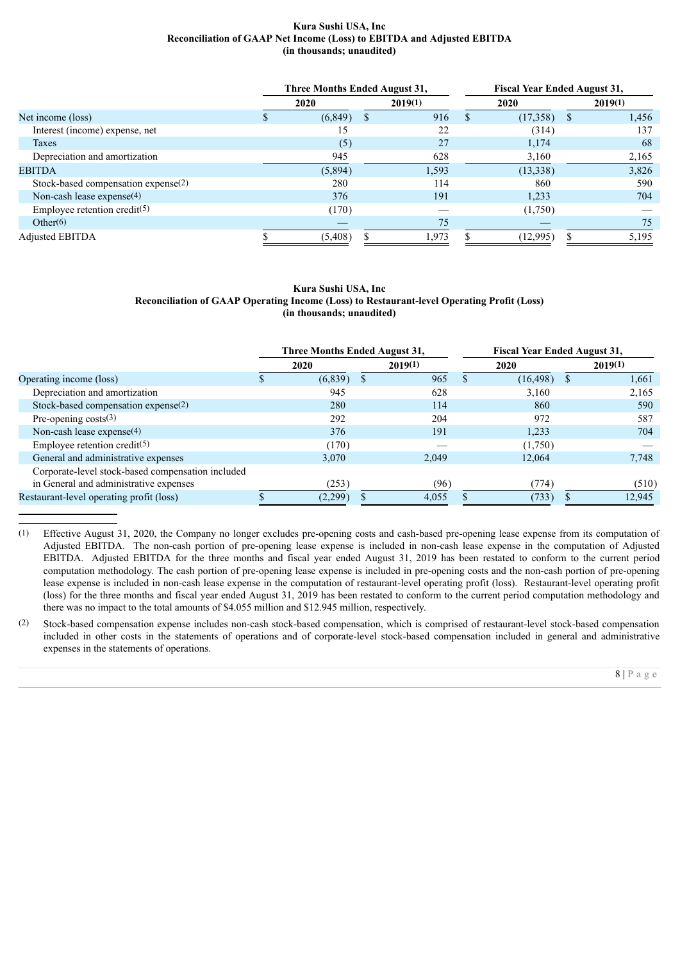#### **Kura Sushi USA, Inc Reconciliation of GAAP Net Income (Loss) to EBITDA and Adjusted EBITDA (in thousands; unaudited)**

|                                     | Three Months Ended August 31, |          |  | <b>Fiscal Year Ended August 31,</b> |  |             |  |         |
|-------------------------------------|-------------------------------|----------|--|-------------------------------------|--|-------------|--|---------|
|                                     |                               | 2020     |  | 2019(1)                             |  | <b>2020</b> |  | 2019(1) |
| Net income (loss)                   |                               | (6, 849) |  | 916                                 |  | (17,358)    |  | 1,456   |
| Interest (income) expense, net      |                               | 15       |  | 22                                  |  | (314)       |  | 137     |
| Taxes                               |                               | (5)      |  | 27                                  |  | 1,174       |  | 68      |
| Depreciation and amortization       |                               | 945      |  | 628                                 |  | 3,160       |  | 2,165   |
| <b>EBITDA</b>                       |                               | (5,894)  |  | 1,593                               |  | (13, 338)   |  | 3,826   |
| Stock-based compensation expense(2) |                               | 280      |  | 114                                 |  | 860         |  | 590     |
| Non-cash lease expense $(4)$        |                               | 376      |  | 191                                 |  | 1,233       |  | 704     |
| Employee retention credit( $5$ )    |                               | (170)    |  |                                     |  | (1,750)     |  |         |
| Other $(6)$                         |                               |          |  | 75                                  |  |             |  | 75      |
| <b>Adjusted EBITDA</b>              |                               | (5, 408) |  | .973                                |  | (12.995)    |  | 5,195   |

#### **Kura Sushi USA, Inc Reconciliation of GAAP Operating Income (Loss) to Restaurant-level Operating Profit (Loss) (in thousands; unaudited)**

|                                                   |         | Three Months Ended August 31, | <b>Fiscal Year Ended August 31,</b> |         |  |  |
|---------------------------------------------------|---------|-------------------------------|-------------------------------------|---------|--|--|
|                                                   | 2020    | 2019(1)                       | 2020                                | 2019(1) |  |  |
| Operating income (loss)                           | (6,839) | 965                           | (16, 498)                           | 1,661   |  |  |
| Depreciation and amortization                     | 945     | 628                           | 3,160                               | 2,165   |  |  |
| Stock-based compensation expense(2)               | 280     | 114                           | 860                                 | 590     |  |  |
| Pre-opening $costs(3)$                            | 292     | 204                           | 972                                 | 587     |  |  |
| Non-cash lease expense $(4)$                      | 376     | 191                           | 1,233                               | 704     |  |  |
| Employee retention $\text{credit}(5)$             | (170)   |                               | (1,750)                             |         |  |  |
| General and administrative expenses               | 3,070   | 2,049                         | 12,064                              | 7,748   |  |  |
| Corporate-level stock-based compensation included |         |                               |                                     |         |  |  |
| in General and administrative expenses            | (253)   | (96)                          | (774)                               | (510)   |  |  |
| Restaurant-level operating profit (loss)          | (2,299) | 4,055                         | (733)                               | 12,945  |  |  |

<sup>(1)</sup> Effective August 31, 2020, the Company no longer excludes pre-opening costs and cash-based pre-opening lease expense from its computation of Adjusted EBITDA. The non-cash portion of pre-opening lease expense is included in non-cash lease expense in the computation of Adjusted EBITDA. Adjusted EBITDA for the three months and fiscal year ended August 31, 2019 has been restated to conform to the current period computation methodology. The cash portion of pre-opening lease expense is included in pre-opening costs and the non-cash portion of pre-opening lease expense is included in non-cash lease expense in the computation of restaurant-level operating profit (loss). Restaurant-level operating profit (loss) for the three months and fiscal year ended August 31, 2019 has been restated to conform to the current period computation methodology and there was no impact to the total amounts of \$4.055 million and \$12.945 million, respectively.

<sup>(2)</sup> Stock-based compensation expense includes non-cash stock-based compensation, which is comprised of restaurant-level stock-based compensation included in other costs in the statements of operations and of corporate-level stock-based compensation included in general and administrative expenses in the statements of operations.